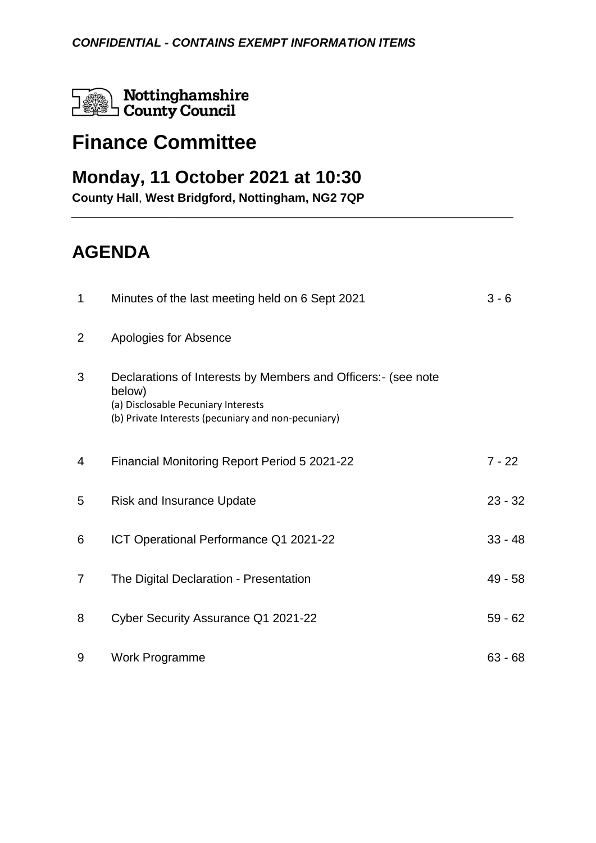Nottinghamshire Nottinghamshir<br>County Council

## **Finance Committee**

### **Monday, 11 October 2021 at 10:30**

**County Hall**, **West Bridgford, Nottingham, NG2 7QP**

# **AGENDA**

| 1              | Minutes of the last meeting held on 6 Sept 2021                                                                                                                      | $3 - 6$   |
|----------------|----------------------------------------------------------------------------------------------------------------------------------------------------------------------|-----------|
| $\overline{2}$ | Apologies for Absence                                                                                                                                                |           |
| 3              | Declarations of Interests by Members and Officers: (see note<br>below)<br>(a) Disclosable Pecuniary Interests<br>(b) Private Interests (pecuniary and non-pecuniary) |           |
| 4              | <b>Financial Monitoring Report Period 5 2021-22</b>                                                                                                                  | $7 - 22$  |
| 5              | <b>Risk and Insurance Update</b>                                                                                                                                     | $23 - 32$ |
| 6              | ICT Operational Performance Q1 2021-22                                                                                                                               | $33 - 48$ |
| $\overline{7}$ | The Digital Declaration - Presentation                                                                                                                               | 49 - 58   |
| 8              | Cyber Security Assurance Q1 2021-22                                                                                                                                  | $59 - 62$ |
| 9              | Work Programme                                                                                                                                                       | $63 - 68$ |